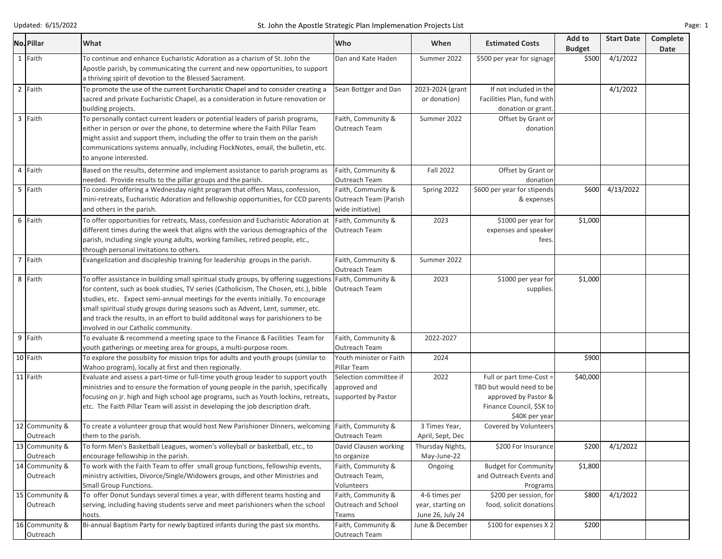| No. Pillar                 | What                                                                                                                                                                                                                                                                                                                                                                                                                                                                            | Who                                                           | When                                                   | <b>Estimated Costs</b>                                                                                                     | Add to<br><b>Budget</b> | <b>Start Date</b> | <b>Complete</b><br><b>Date</b> |
|----------------------------|---------------------------------------------------------------------------------------------------------------------------------------------------------------------------------------------------------------------------------------------------------------------------------------------------------------------------------------------------------------------------------------------------------------------------------------------------------------------------------|---------------------------------------------------------------|--------------------------------------------------------|----------------------------------------------------------------------------------------------------------------------------|-------------------------|-------------------|--------------------------------|
| 1 Faith                    | To continue and enhance Eucharistic Adoration as a charism of St. John the<br>Apostle parish, by communicating the current and new opportunities, to support<br>a thriving spirit of devotion to the Blessed Sacrament.                                                                                                                                                                                                                                                         | Dan and Kate Haden                                            | Summer 2022                                            | \$500 per year for signage                                                                                                 | \$500                   | 4/1/2022          |                                |
| 2 Faith                    | To promote the use of the current Eurcharistic Chapel and to consider creating a<br>sacred and private Eucharistic Chapel, as a consideration in future renovation or<br>building projects.                                                                                                                                                                                                                                                                                     | Sean Bottger and Dan                                          | 2023-2024 (grant<br>or donation)                       | If not included in the<br>Facilities Plan, fund with<br>donation or grant.                                                 |                         | 4/1/2022          |                                |
| 3 Faith                    | To personally contact current leaders or potential leaders of parish programs,<br>either in person or over the phone, to determine where the Faith Pillar Team<br>might assist and support them, including the offer to train them on the parish<br>communications systems annually, including FlockNotes, email, the bulletin, etc.<br>to anyone interested.                                                                                                                   | Faith, Community &<br><b>Outreach Team</b>                    | Summer 2022                                            | Offset by Grant or<br>donation                                                                                             |                         |                   |                                |
| 4 Faith                    | Based on the results, determine and implement assistance to parish programs as<br>needed. Provide results to the pillar groups and the parish.                                                                                                                                                                                                                                                                                                                                  | Faith, Community &<br>Outreach Team                           | <b>Fall 2022</b>                                       | Offset by Grant or<br>donation                                                                                             |                         |                   |                                |
| 5 Faith                    | To consider offering a Wednesday night program that offers Mass, confession,<br>mini-retreats, Eucharistic Adoration and fellowship opportunities, for CCD parents Outreach Team (Parish<br>and others in the parish.                                                                                                                                                                                                                                                           | Faith, Community &<br>wide initiative)                        | Spring 2022                                            | \$600 per year for stipends<br>& expenses                                                                                  | \$600                   | 4/13/2022         |                                |
| 6 Faith                    | To offer opportunities for retreats, Mass, confession and Eucharistic Adoration at<br>different times during the week that aligns with the various demographics of the<br>parish, including single young adults, working families, retired people, etc.,<br>through personal invitations to others.                                                                                                                                                                             | Faith, Community &<br>Outreach Team                           | 2023                                                   | \$1000 per year for<br>expenses and speaker<br>fees.                                                                       | \$1,000                 |                   |                                |
| 7 Faith                    | Evangelization and discipleship training for leadership groups in the parish.                                                                                                                                                                                                                                                                                                                                                                                                   | Faith, Community &<br>Outreach Team                           | Summer 2022                                            |                                                                                                                            |                         |                   |                                |
| 8 Faith                    | To offer assistance in building small spiritual study groups, by offering suggestions<br>for content, such as book studies, TV series (Catholicism, The Chosen, etc.), bible<br>studies, etc. Expect semi-annual meetings for the events initially. To encourage<br>small spiritual study groups during seasons such as Advent, Lent, summer, etc.<br>and track the results, in an effort to build additonal ways for parishioners to be<br>involved in our Catholic community. | Faith, Community &<br>Outreach Team                           | 2023                                                   | \$1000 per year for<br>supplies.                                                                                           | \$1,000                 |                   |                                |
| 9 Faith                    | To evaluate & recommend a meeting space to the Finance & Facilities Team for   Faith, Community &<br>youth gatherings or meeting area for groups, a multi-purpose room.                                                                                                                                                                                                                                                                                                         | Outreach Team                                                 | 2022-2027                                              |                                                                                                                            |                         |                   |                                |
| 10 Faith                   | To explore the possibiity for mission trips for adults and youth groups (similar to<br>Wahoo program), locally at first and then regionally.                                                                                                                                                                                                                                                                                                                                    | Youth minister or Faith<br>Pillar Team                        | 2024                                                   |                                                                                                                            | \$900                   |                   |                                |
| 11 Faith                   | Evaluate and assess a part-time or full-time youth group leader to support youth<br>ministries and to ensure the formation of young people in the parish, specifically<br>focusing on jr. high and high school age programs, such as Youth lockins, retreats,<br>etc. The Faith Pillar Team will assist in developing the job description draft.                                                                                                                                | Selection committee if<br>approved and<br>supported by Pastor | 2022                                                   | Full or part time-Cost =<br>TBD but would need to be<br>approved by Pastor &<br>Finance Council, \$5K to<br>\$40K per year | \$40,000                |                   |                                |
| 12 Community &<br>Outreach | To create a volunteer group that would host New Parishioner Dinners, welcoming<br>them to the parish.                                                                                                                                                                                                                                                                                                                                                                           | Faith, Community &<br>Outreach Team                           | 3 Times Year,<br>April, Sept, Dec                      | Covered by Volunteers                                                                                                      |                         |                   |                                |
| 13 Community &<br>Outreach | To form Men's Basketball Leagues, women's volleyball or basketball, etc., to<br>encourage fellowship in the parish.                                                                                                                                                                                                                                                                                                                                                             | David Clausen working<br>to organize                          | Thursday Nights,<br>May-June-22                        | \$200 For Insurance                                                                                                        | \$200                   | 4/1/2022          |                                |
| 14 Community &<br>Outreach | To work with the Faith Team to offer small group functions, fellowship events,<br>ministry activities, Divorce/Single/Widowers groups, and other Ministries and<br><b>Small Group Functions.</b>                                                                                                                                                                                                                                                                                | Faith, Community &<br>Outreach Team,<br>Volunteers            | Ongoing                                                | <b>Budget for Community</b><br>and Outreach Events and<br>Programs                                                         | \$1,800                 |                   |                                |
| 15 Community &<br>Outreach | To offer Donut Sundays several times a year, with different teams hosting and<br>serving, including having students serve and meet parishioners when the school<br>hosts.                                                                                                                                                                                                                                                                                                       | Faith, Community &<br>Outreach and School<br>Teams            | 4-6 times per<br>year, starting on<br>June 26, July 24 | \$200 per session, for<br>food, solicit donations                                                                          | \$800                   | 4/1/2022          |                                |
| 16 Community &<br>Outreach | Bi-annual Baptism Party for newly baptized infants during the past six months.                                                                                                                                                                                                                                                                                                                                                                                                  | Faith, Community &<br>Outreach Team                           | June & December                                        | \$100 for expenses X 2                                                                                                     | \$200                   |                   |                                |